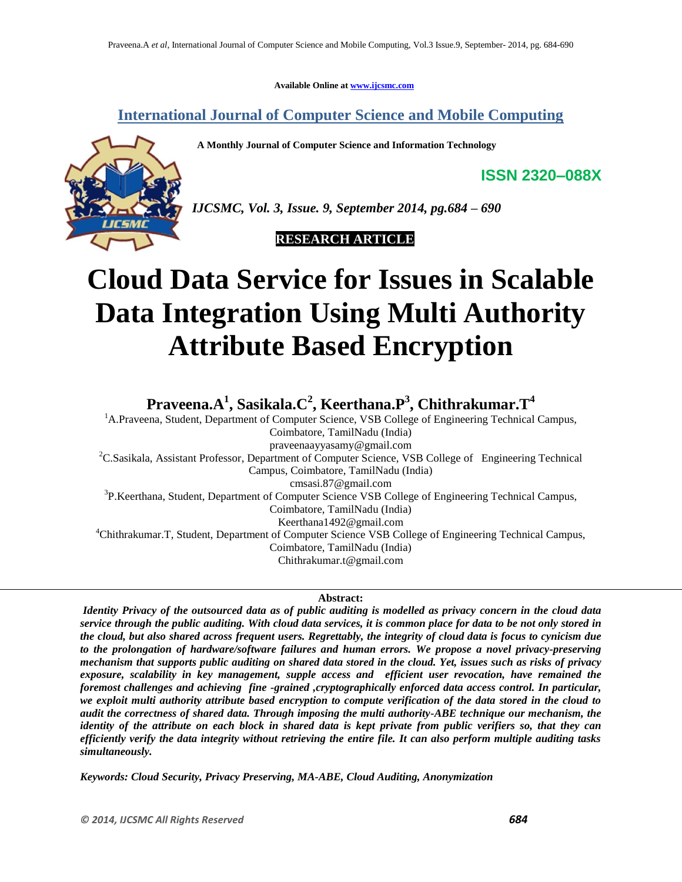**Available Online at www.ijcsmc.com**

**International Journal of Computer Science and Mobile Computing**

 **A Monthly Journal of Computer Science and Information Technology**



*IJCSMC, Vol. 3, Issue. 9, September 2014, pg.684 – 690*

 **RESEARCH ARTICLE**

# **Cloud Data Service for Issues in Scalable Data Integration Using Multi Authority Attribute Based Encryption**

**Praveena.A<sup>1</sup> , Sasikala.C<sup>2</sup> , Keerthana.P 3 , Chithrakumar.T<sup>4</sup>**

<sup>1</sup>A.Praveena, Student, Department of Computer Science, VSB College of Engineering Technical Campus, Coimbatore, TamilNadu (India) praveenaayyasamy@gmail.com <sup>2</sup>C.Sasikala, Assistant Professor, Department of Computer Science, VSB College of Engineering Technical Campus, Coimbatore, TamilNadu (India) cmsasi.87@gmail.com <sup>3</sup>P.Keerthana, Student, Department of Computer Science VSB College of Engineering Technical Campus, Coimbatore, TamilNadu (India) Keerthana1492@gmail.com <sup>4</sup>Chithrakumar.T, Student, Department of Computer Science VSB College of Engineering Technical Campus, Coimbatore, TamilNadu (India) Chithrakumar.t@gmail.com

## **Abstract:**

*Identity Privacy of the outsourced data as of public auditing is modelled as privacy concern in the cloud data service through the public auditing. With cloud data services, it is common place for data to be not only stored in the cloud, but also shared across frequent users. Regrettably, the integrity of cloud data is focus to cynicism due to the prolongation of hardware/software failures and human errors. We propose a novel privacy-preserving mechanism that supports public auditing on shared data stored in the cloud. Yet, issues such as risks of privacy exposure, scalability in key management, supple access and efficient user revocation, have remained the foremost challenges and achieving fine -grained ,cryptographically enforced data access control. In particular, we exploit multi authority attribute based encryption to compute verification of the data stored in the cloud to audit the correctness of shared data. Through imposing the multi authority-ABE technique our mechanism, the identity of the attribute on each block in shared data is kept private from public verifiers so, that they can efficiently verify the data integrity without retrieving the entire file. It can also perform multiple auditing tasks simultaneously.*

*Keywords: Cloud Security, Privacy Preserving, MA-ABE, Cloud Auditing, Anonymization*

**ISSN 2320–088X**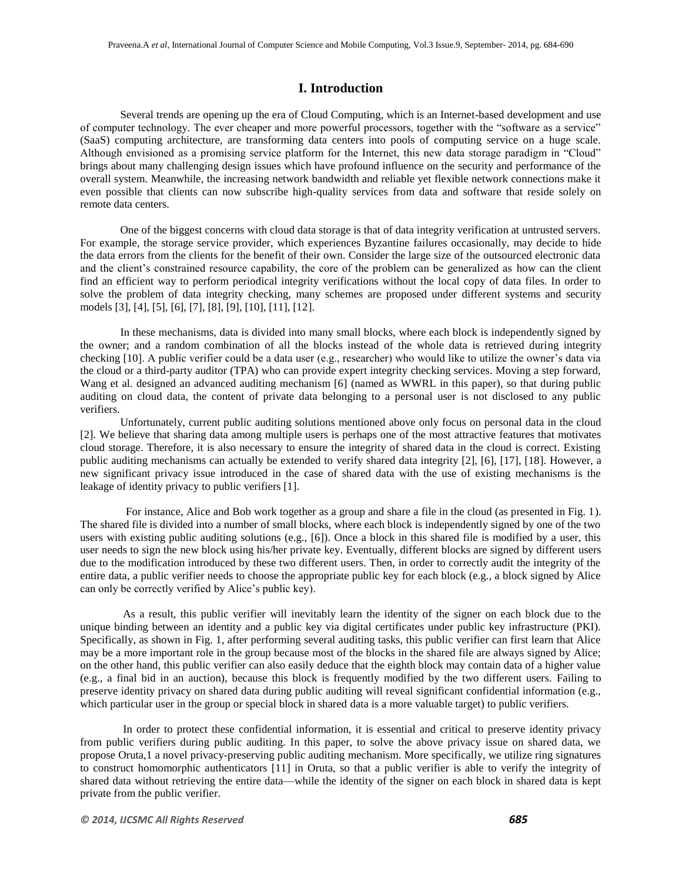# **I. Introduction**

Several trends are opening up the era of Cloud Computing, which is an Internet-based development and use of computer technology. The ever cheaper and more powerful processors, together with the "software as a service" (SaaS) computing architecture, are transforming data centers into pools of computing service on a huge scale. Although envisioned as a promising service platform for the Internet, this new data storage paradigm in "Cloud" brings about many challenging design issues which have profound influence on the security and performance of the overall system. Meanwhile, the increasing network bandwidth and reliable yet flexible network connections make it even possible that clients can now subscribe high-quality services from data and software that reside solely on remote data centers.

One of the biggest concerns with cloud data storage is that of data integrity verification at untrusted servers. For example, the storage service provider, which experiences Byzantine failures occasionally, may decide to hide the data errors from the clients for the benefit of their own. Consider the large size of the outsourced electronic data and the client's constrained resource capability, the core of the problem can be generalized as how can the client find an efficient way to perform periodical integrity verifications without the local copy of data files. In order to solve the problem of data integrity checking, many schemes are proposed under different systems and security models [3], [4], [5], [6], [7], [8], [9], [10], [11], [12].

In these mechanisms, data is divided into many small blocks, where each block is independently signed by the owner; and a random combination of all the blocks instead of the whole data is retrieved during integrity checking [10]. A public verifier could be a data user (e.g., researcher) who would like to utilize the owner's data via the cloud or a third-party auditor (TPA) who can provide expert integrity checking services. Moving a step forward, Wang et al. designed an advanced auditing mechanism [6] (named as WWRL in this paper), so that during public auditing on cloud data, the content of private data belonging to a personal user is not disclosed to any public verifiers.

Unfortunately, current public auditing solutions mentioned above only focus on personal data in the cloud [2]. We believe that sharing data among multiple users is perhaps one of the most attractive features that motivates cloud storage. Therefore, it is also necessary to ensure the integrity of shared data in the cloud is correct. Existing public auditing mechanisms can actually be extended to verify shared data integrity [2], [6], [17], [18]. However, a new significant privacy issue introduced in the case of shared data with the use of existing mechanisms is the leakage of identity privacy to public verifiers [1].

 For instance, Alice and Bob work together as a group and share a file in the cloud (as presented in Fig. 1). The shared file is divided into a number of small blocks, where each block is independently signed by one of the two users with existing public auditing solutions (e.g.,  $[6]$ ). Once a block in this shared file is modified by a user, this user needs to sign the new block using his/her private key. Eventually, different blocks are signed by different users due to the modification introduced by these two different users. Then, in order to correctly audit the integrity of the entire data, a public verifier needs to choose the appropriate public key for each block (e.g., a block signed by Alice can only be correctly verified by Alice's public key).

As a result, this public verifier will inevitably learn the identity of the signer on each block due to the unique binding between an identity and a public key via digital certificates under public key infrastructure (PKI). Specifically, as shown in Fig. 1, after performing several auditing tasks, this public verifier can first learn that Alice may be a more important role in the group because most of the blocks in the shared file are always signed by Alice; on the other hand, this public verifier can also easily deduce that the eighth block may contain data of a higher value (e.g., a final bid in an auction), because this block is frequently modified by the two different users. Failing to preserve identity privacy on shared data during public auditing will reveal significant confidential information (e.g., which particular user in the group or special block in shared data is a more valuable target) to public verifiers.

In order to protect these confidential information, it is essential and critical to preserve identity privacy from public verifiers during public auditing. In this paper, to solve the above privacy issue on shared data, we propose Oruta,1 a novel privacy-preserving public auditing mechanism. More specifically, we utilize ring signatures to construct homomorphic authenticators [11] in Oruta, so that a public verifier is able to verify the integrity of shared data without retrieving the entire data—while the identity of the signer on each block in shared data is kept private from the public verifier.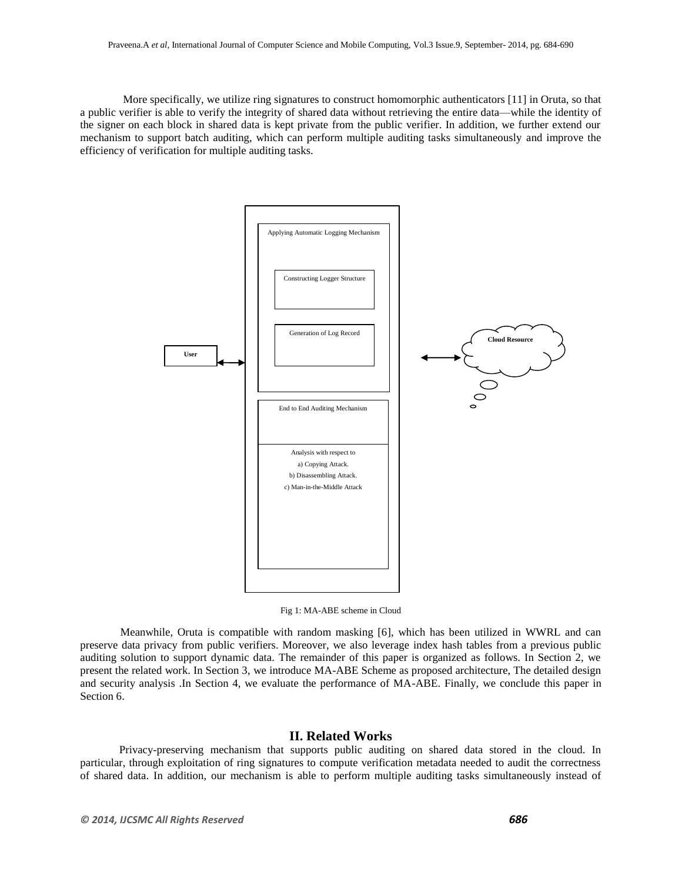More specifically, we utilize ring signatures to construct homomorphic authenticators [11] in Oruta, so that a public verifier is able to verify the integrity of shared data without retrieving the entire data—while the identity of the signer on each block in shared data is kept private from the public verifier. In addition, we further extend our mechanism to support batch auditing, which can perform multiple auditing tasks simultaneously and improve the efficiency of verification for multiple auditing tasks.



Fig 1: MA-ABE scheme in Cloud

Meanwhile, Oruta is compatible with random masking [6], which has been utilized in WWRL and can preserve data privacy from public verifiers. Moreover, we also leverage index hash tables from a previous public auditing solution to support dynamic data. The remainder of this paper is organized as follows. In Section 2, we present the related work. In Section 3, we introduce MA-ABE Scheme as proposed architecture, The detailed design and security analysis .In Section 4, we evaluate the performance of MA-ABE. Finally, we conclude this paper in Section 6.

## **II. Related Works**

 Privacy-preserving mechanism that supports public auditing on shared data stored in the cloud. In particular, through exploitation of ring signatures to compute verification metadata needed to audit the correctness of shared data. In addition, our mechanism is able to perform multiple auditing tasks simultaneously instead of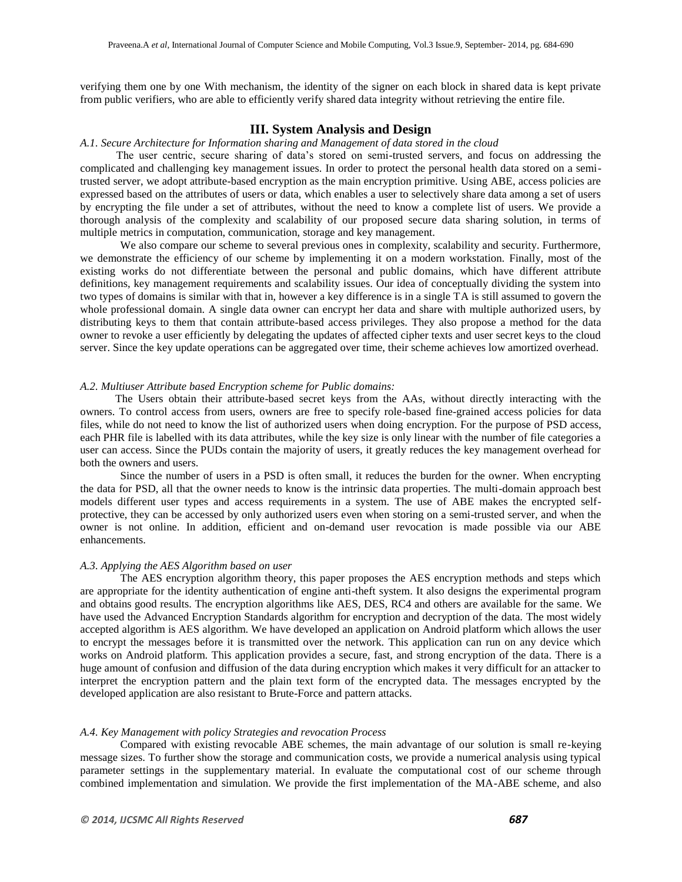verifying them one by one With mechanism, the identity of the signer on each block in shared data is kept private from public verifiers, who are able to efficiently verify shared data integrity without retrieving the entire file.

## **III. System Analysis and Design**

#### *A.1. Secure Architecture for Information sharing and Management of data stored in the cloud*

 The user centric, secure sharing of data's stored on semi-trusted servers, and focus on addressing the complicated and challenging key management issues. In order to protect the personal health data stored on a semitrusted server, we adopt attribute-based encryption as the main encryption primitive. Using ABE, access policies are expressed based on the attributes of users or data, which enables a user to selectively share data among a set of users by encrypting the file under a set of attributes, without the need to know a complete list of users. We provide a thorough analysis of the complexity and scalability of our proposed secure data sharing solution, in terms of multiple metrics in computation, communication, storage and key management.

We also compare our scheme to several previous ones in complexity, scalability and security. Furthermore, we demonstrate the efficiency of our scheme by implementing it on a modern workstation. Finally, most of the existing works do not differentiate between the personal and public domains, which have different attribute definitions, key management requirements and scalability issues. Our idea of conceptually dividing the system into two types of domains is similar with that in, however a key difference is in a single TA is still assumed to govern the whole professional domain. A single data owner can encrypt her data and share with multiple authorized users, by distributing keys to them that contain attribute-based access privileges. They also propose a method for the data owner to revoke a user efficiently by delegating the updates of affected cipher texts and user secret keys to the cloud server. Since the key update operations can be aggregated over time, their scheme achieves low amortized overhead.

### *A.2. Multiuser Attribute based Encryption scheme for Public domains:*

The Users obtain their attribute-based secret keys from the AAs, without directly interacting with the owners. To control access from users, owners are free to specify role-based fine-grained access policies for data files, while do not need to know the list of authorized users when doing encryption. For the purpose of PSD access, each PHR file is labelled with its data attributes, while the key size is only linear with the number of file categories a user can access. Since the PUDs contain the majority of users, it greatly reduces the key management overhead for both the owners and users.

Since the number of users in a PSD is often small, it reduces the burden for the owner. When encrypting the data for PSD, all that the owner needs to know is the intrinsic data properties. The multi-domain approach best models different user types and access requirements in a system. The use of ABE makes the encrypted selfprotective, they can be accessed by only authorized users even when storing on a semi-trusted server, and when the owner is not online. In addition, efficient and on-demand user revocation is made possible via our ABE enhancements.

#### *A.3. Applying the AES Algorithm based on user*

The AES encryption algorithm theory, this paper proposes the AES encryption methods and steps which are appropriate for the identity authentication of engine anti-theft system. It also designs the experimental program and obtains good results. The encryption algorithms like AES, DES, RC4 and others are available for the same. We have used the Advanced Encryption Standards algorithm for encryption and decryption of the data. The most widely accepted algorithm is AES algorithm. We have developed an application on Android platform which allows the user to encrypt the messages before it is transmitted over the network. This application can run on any device which works on Android platform. This application provides a secure, fast, and strong encryption of the data. There is a huge amount of confusion and diffusion of the data during encryption which makes it very difficult for an attacker to interpret the encryption pattern and the plain text form of the encrypted data. The messages encrypted by the developed application are also resistant to Brute-Force and pattern attacks.

#### *A.4. Key Management with policy Strategies and revocation Process*

Compared with existing revocable ABE schemes, the main advantage of our solution is small re-keying message sizes. To further show the storage and communication costs, we provide a numerical analysis using typical parameter settings in the supplementary material. In evaluate the computational cost of our scheme through combined implementation and simulation. We provide the first implementation of the MA-ABE scheme, and also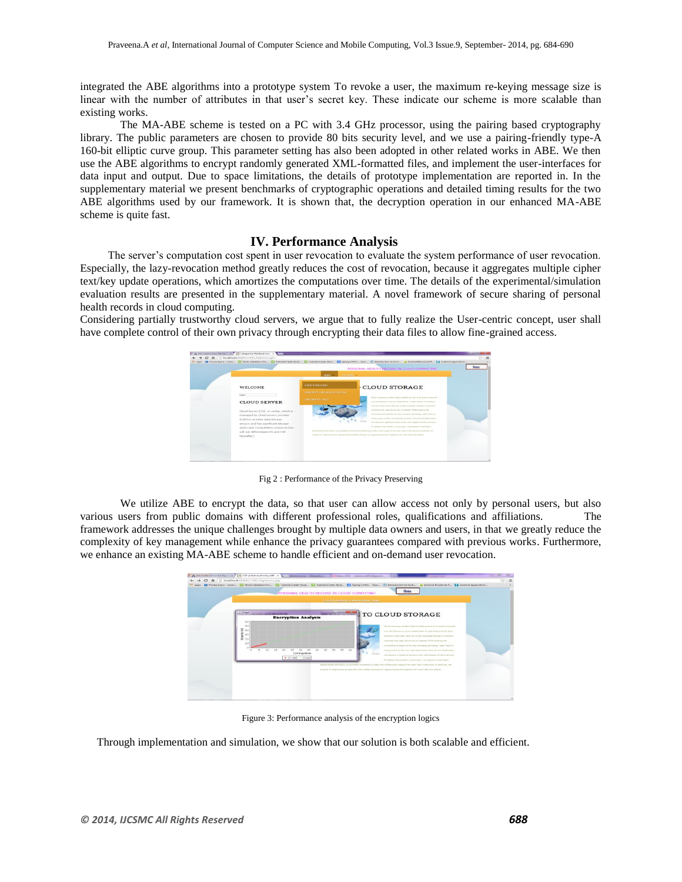integrated the ABE algorithms into a prototype system To revoke a user, the maximum re-keying message size is linear with the number of attributes in that user's secret key. These indicate our scheme is more scalable than existing works.

The MA-ABE scheme is tested on a PC with 3.4 GHz processor, using the pairing based cryptography library. The public parameters are chosen to provide 80 bits security level, and we use a pairing-friendly type-A 160-bit elliptic curve group. This parameter setting has also been adopted in other related works in ABE. We then use the ABE algorithms to encrypt randomly generated XML-formatted files, and implement the user-interfaces for data input and output. Due to space limitations, the details of prototype implementation are reported in. In the supplementary material we present benchmarks of cryptographic operations and detailed timing results for the two ABE algorithms used by our framework. It is shown that, the decryption operation in our enhanced MA-ABE scheme is quite fast.

# **IV. Performance Analysis**

 The server's computation cost spent in user revocation to evaluate the system performance of user revocation. Especially, the lazy-revocation method greatly reduces the cost of revocation, because it aggregates multiple cipher text/key update operations, which amortizes the computations over time. The details of the experimental/simulation evaluation results are presented in the supplementary material. A novel framework of secure sharing of personal health records in cloud computing.

Considering partially trustworthy cloud servers, we argue that to fully realize the User-centric concept, user shall have complete control of their own privacy through encrypting their data files to allow fine-grained access.



Fig 2 : Performance of the Privacy Preserving

We utilize ABE to encrypt the data, so that user can allow access not only by personal users, but also various users from public domains with different professional roles, qualifications and affiliations. The framework addresses the unique challenges brought by multiple data owners and users, in that we greatly reduce the complexity of key management while enhance the privacy guarantees compared with previous works. Furthermore, we enhance an existing MA-ABE scheme to handle efficient and on-demand user revocation.

|                      | S localhost 8084/CABS/cspmemu3sp           | Production a comp. [7] Struts Validation Fra. [7] Tutorial Create Strut. [7] Tutorial Create Strut. [8] Spring's MVC, - Goa. (8) Introduction to Sock. [9] Android Roadcast R. [8] Android Application |  |
|----------------------|--------------------------------------------|--------------------------------------------------------------------------------------------------------------------------------------------------------------------------------------------------------|--|
|                      | PERSONAL HEALTH RECORD IN CLOUD COMPUTING. | <b>Boone</b>                                                                                                                                                                                           |  |
|                      | CLOUD SERVICE PROVIDER TABLE               |                                                                                                                                                                                                        |  |
|                      |                                            |                                                                                                                                                                                                        |  |
| A Chart              | <b>ALCOHOL:</b>                            |                                                                                                                                                                                                        |  |
|                      | <b>Encryption Analysis</b>                 | <b>TO CLOUD STORAGE</b>                                                                                                                                                                                |  |
| 60                   |                                            |                                                                                                                                                                                                        |  |
| 50<br>$-40$          |                                            | (Sand comparing wouldes highly available operator) to be made compared                                                                                                                                 |  |
| Time in MS<br>$30 -$ |                                            | were the Treasurer on an any resulted harm. A major feature of the cloud<br>parentes in that loaned skills are countly presented himself; in artistener                                                |  |
| 30                   |                                            | machines that copie do not work or spends. While attenting the                                                                                                                                         |  |
| 30 <sup>°</sup>      |                                            | conversers in longhi by this new energing inclusings, coals' faces of                                                                                                                                  |  |
| $\Omega$             | 55<br>$^{60}$<br>50                        | ligency spread of their own duty 'perterintists, financial and health duty)'.                                                                                                                          |  |
|                      | Encryption<br><b>B CP-ARE</b><br>CHIE      | nice because a minimum harder withe wide advance of sheal accounts.                                                                                                                                    |  |
|                      |                                            | To address this problem, to this paper, we present a noiled highly                                                                                                                                     |  |
|                      |                                            | determined information accountability finances to be actual of the school space of the court should be deadly to an included one                                                                       |  |
|                      |                                            | propose art object-comment approach that analisa probably our legality mechanism together with yours' data and political                                                                               |  |
|                      |                                            |                                                                                                                                                                                                        |  |
|                      |                                            |                                                                                                                                                                                                        |  |
|                      |                                            |                                                                                                                                                                                                        |  |

Figure 3: Performance analysis of the encryption logics

Through implementation and simulation, we show that our solution is both scalable and efficient.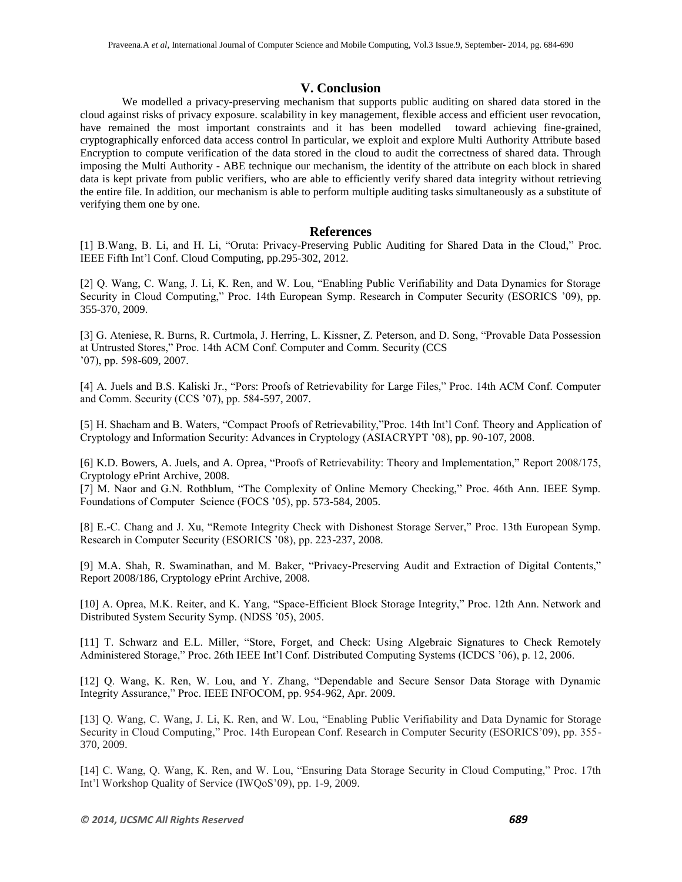## **V. Conclusion**

 We modelled a privacy-preserving mechanism that supports public auditing on shared data stored in the cloud against risks of privacy exposure. scalability in key management, flexible access and efficient user revocation, have remained the most important constraints and it has been modelled toward achieving fine-grained, cryptographically enforced data access control In particular, we exploit and explore Multi Authority Attribute based Encryption to compute verification of the data stored in the cloud to audit the correctness of shared data. Through imposing the Multi Authority - ABE technique our mechanism, the identity of the attribute on each block in shared data is kept private from public verifiers, who are able to efficiently verify shared data integrity without retrieving the entire file. In addition, our mechanism is able to perform multiple auditing tasks simultaneously as a substitute of verifying them one by one.

## **References**

[1] B.Wang, B. Li, and H. Li, "Oruta: Privacy-Preserving Public Auditing for Shared Data in the Cloud," Proc. IEEE Fifth Int'l Conf. Cloud Computing, pp.295-302, 2012.

[2] Q. Wang, C. Wang, J. Li, K. Ren, and W. Lou, "Enabling Public Verifiability and Data Dynamics for Storage Security in Cloud Computing," Proc. 14th European Symp. Research in Computer Security (ESORICS '09), pp. 355-370, 2009.

[3] G. Ateniese, R. Burns, R. Curtmola, J. Herring, L. Kissner, Z. Peterson, and D. Song, "Provable Data Possession at Untrusted Stores," Proc. 14th ACM Conf. Computer and Comm. Security (CCS '07), pp. 598-609, 2007.

[4] A. Juels and B.S. Kaliski Jr., "Pors: Proofs of Retrievability for Large Files," Proc. 14th ACM Conf. Computer and Comm. Security (CCS '07), pp. 584-597, 2007.

[5] H. Shacham and B. Waters, "Compact Proofs of Retrievability,"Proc. 14th Int'l Conf. Theory and Application of Cryptology and Information Security: Advances in Cryptology (ASIACRYPT '08), pp. 90-107, 2008.

[6] K.D. Bowers, A. Juels, and A. Oprea, "Proofs of Retrievability: Theory and Implementation," Report 2008/175, Cryptology ePrint Archive, 2008.

[7] M. Naor and G.N. Rothblum, "The Complexity of Online Memory Checking," Proc. 46th Ann. IEEE Symp. Foundations of Computer Science (FOCS '05), pp. 573-584, 2005.

[8] E.-C. Chang and J. Xu, "Remote Integrity Check with Dishonest Storage Server," Proc. 13th European Symp. Research in Computer Security (ESORICS '08), pp. 223-237, 2008.

[9] M.A. Shah, R. Swaminathan, and M. Baker, "Privacy-Preserving Audit and Extraction of Digital Contents," Report 2008/186, Cryptology ePrint Archive, 2008.

[10] A. Oprea, M.K. Reiter, and K. Yang, "Space-Efficient Block Storage Integrity," Proc. 12th Ann. Network and Distributed System Security Symp. (NDSS '05), 2005.

[11] T. Schwarz and E.L. Miller, "Store, Forget, and Check: Using Algebraic Signatures to Check Remotely Administered Storage," Proc. 26th IEEE Int'l Conf. Distributed Computing Systems (ICDCS '06), p. 12, 2006.

[12] Q. Wang, K. Ren, W. Lou, and Y. Zhang, "Dependable and Secure Sensor Data Storage with Dynamic Integrity Assurance," Proc. IEEE INFOCOM, pp. 954-962, Apr. 2009.

[13] Q. Wang, C. Wang, J. Li, K. Ren, and W. Lou, "Enabling Public Verifiability and Data Dynamic for Storage Security in Cloud Computing," Proc. 14th European Conf. Research in Computer Security (ESORICS'09), pp. 355- 370, 2009.

[14] C. Wang, Q. Wang, K. Ren, and W. Lou, "Ensuring Data Storage Security in Cloud Computing," Proc. 17th Int'l Workshop Quality of Service (IWQoS'09), pp. 1-9, 2009.